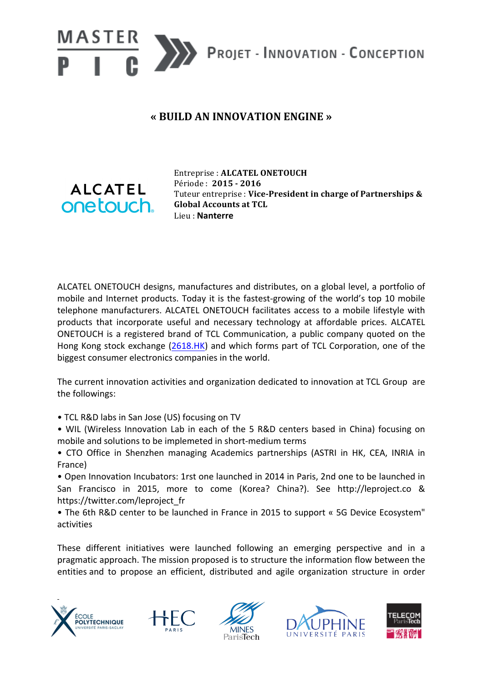

## **« BUILD AN INNOVATION ENGINE »**



Entreprise : **ALCATEL ONETOUCH** Période : **2015 - 2016** Tuteur entreprise : Vice-President in charge of Partnerships & **Global Accounts at TCL** Lieu : **Nanterre**

ALCATEL ONETOUCH designs, manufactures and distributes, on a global level, a portfolio of mobile and Internet products. Today it is the fastest-growing of the world's top 10 mobile telephone manufacturers. ALCATEL ONETOUCH facilitates access to a mobile lifestyle with products that incorporate useful and necessary technology at affordable prices. ALCATEL ONETOUCH is a registered brand of TCL Communication, a public company quoted on the Hong Kong stock exchange (2618.HK) and which forms part of TCL Corporation, one of the biggest consumer electronics companies in the world.

The current innovation activities and organization dedicated to innovation at TCL Group are the followings:

- TCL R&D labs in San Jose (US) focusing on TV
- WIL (Wireless Innovation Lab in each of the 5 R&D centers based in China) focusing on mobile and solutions to be implemeted in short-medium terms
- CTO Office in Shenzhen managing Academics partnerships (ASTRI in HK, CEA, INRIA in France)

• Open Innovation Incubators: 1rst one launched in 2014 in Paris, 2nd one to be launched in San Francisco in 2015, more to come (Korea? China?). See http://leproject.co & https://twitter.com/leproject\_fr

• The 6th R&D center to be launched in France in 2015 to support « 5G Device Ecosystem" activities

These different initiatives were launched following an emerging perspective and in a pragmatic approach. The mission proposed is to structure the information flow between the entities and to propose an efficient, distributed and agile organization structure in order